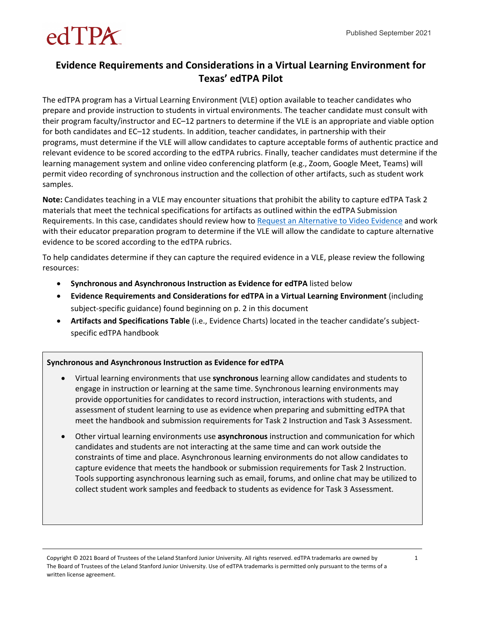# $edTPK$

#### **Evidence Requirements and Considerations in a Virtual Learning Environment for Texas' edTPA Pilot**

The edTPA program has a Virtual Learning Environment (VLE) option available to teacher candidates who prepare and provide instruction to students in virtual environments. The teacher candidate must consult with their program faculty/instructor and EC–12 partners to determine if the VLE is an appropriate and viable option for both candidates and EC–12 students. In addition, teacher candidates, in partnership with their programs, must determine if the VLE will allow candidates to capture acceptable forms of authentic practice and relevant evidence to be scored according to the edTPA rubrics. Finally, teacher candidates must determine if the learning management system and online video conferencing platform (e.g., Zoom, Google Meet, Teams) will permit video recording of synchronous instruction and the collection of other artifacts, such as student work samples.

**Note:** Candidates teaching in a VLE may encounter situations that prohibit the ability to capture edTPA Task 2 materials that meet the technical specifications for artifacts as outlined within the [edTPA Submission](https://www.edtpa.com/content/docs/edtpasubmissionrequirements.pdf%22%20/)  [Requirements.](https://www.edtpa.com/content/docs/edtpasubmissionrequirements.pdf%22%20/) In this case, candidates should review how to [Request an Alternative to Video Evidence](http://www.tx.nesinc.com/TestView.aspx?f=GEN_RequestingAlternateVideoEvidence.html) and work with their educator preparation program to determine if the VLE will allow the candidate to capture alternative evidence to be scored according to the edTPA rubrics.

To help candidates determine if they can capture the required evidence in a VLE, please review the following resources:

- **Synchronous and Asynchronous Instruction as Evidence for edTPA** listed below
- **Evidence Requirements and Considerations for edTPA in a Virtual Learning Environment** (including subject-specific guidance) found beginning on p. 2 in this document
- **Artifacts and Specifications Table** (i.e., Evidence Charts) located in the teacher candidate's subjectspecific edTPA handbook

#### **Synchronous and Asynchronous Instruction as Evidence for edTPA**

- Virtual learning environments that use **synchronous** learning allow candidates and students to engage in instruction or learning at the same time. Synchronous learning environments may provide opportunities for candidates to record instruction, interactions with students, and assessment of student learning to use as evidence when preparing and submitting edTPA that meet the handbook and submission requirements for Task 2 Instruction and Task 3 Assessment.
- Other virtual learning environments use **asynchronous** instruction and communication for which candidates and students are not interacting at the same time and can work outside the constraints of time and place. Asynchronous learning environments do not allow candidates to capture evidence that meets the handbook or submission requirements for Task 2 Instruction. Tools supporting asynchronous learning such as email, forums, and online chat may be utilized to collect student work samples and feedback to students as evidence for Task 3 Assessment.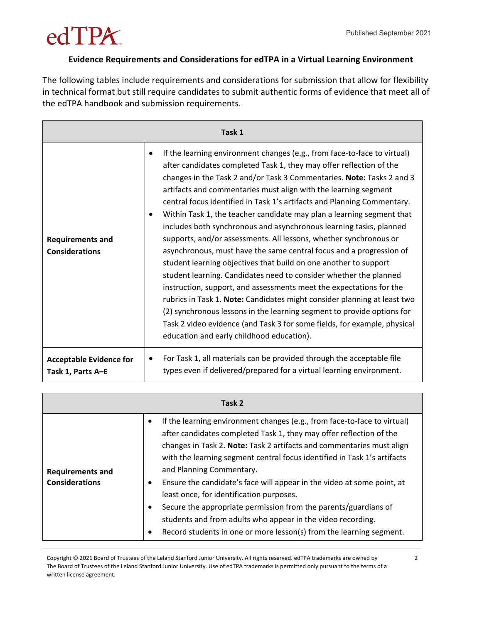#### **Evidence Requirements and Considerations for edTPA in a Virtual Learning Environment**

The following tables include requirements and considerations for submission that allow for flexibility in technical format but still require candidates to submit authentic forms of evidence that meet all of the edTPA handbook and submission requirements.

| Task 1                                              |                                                                                                                                                                                                                                                                                                                                                                                                                                                                                                                                                                                                                                                                                                                                                                                                                                                                                                                                                                                                                                                                                                                                                                               |
|-----------------------------------------------------|-------------------------------------------------------------------------------------------------------------------------------------------------------------------------------------------------------------------------------------------------------------------------------------------------------------------------------------------------------------------------------------------------------------------------------------------------------------------------------------------------------------------------------------------------------------------------------------------------------------------------------------------------------------------------------------------------------------------------------------------------------------------------------------------------------------------------------------------------------------------------------------------------------------------------------------------------------------------------------------------------------------------------------------------------------------------------------------------------------------------------------------------------------------------------------|
| <b>Requirements and</b><br><b>Considerations</b>    | If the learning environment changes (e.g., from face-to-face to virtual)<br>$\bullet$<br>after candidates completed Task 1, they may offer reflection of the<br>changes in the Task 2 and/or Task 3 Commentaries. Note: Tasks 2 and 3<br>artifacts and commentaries must align with the learning segment<br>central focus identified in Task 1's artifacts and Planning Commentary.<br>Within Task 1, the teacher candidate may plan a learning segment that<br>includes both synchronous and asynchronous learning tasks, planned<br>supports, and/or assessments. All lessons, whether synchronous or<br>asynchronous, must have the same central focus and a progression of<br>student learning objectives that build on one another to support<br>student learning. Candidates need to consider whether the planned<br>instruction, support, and assessments meet the expectations for the<br>rubrics in Task 1. Note: Candidates might consider planning at least two<br>(2) synchronous lessons in the learning segment to provide options for<br>Task 2 video evidence (and Task 3 for some fields, for example, physical<br>education and early childhood education). |
| <b>Acceptable Evidence for</b><br>Task 1, Parts A-E | For Task 1, all materials can be provided through the acceptable file<br>٠<br>types even if delivered/prepared for a virtual learning environment.                                                                                                                                                                                                                                                                                                                                                                                                                                                                                                                                                                                                                                                                                                                                                                                                                                                                                                                                                                                                                            |

| Task 2                                           |                                                                                                                                                                                                                                                                                                                                                                                                                                                                                                                                                                                                                                                                 |  |
|--------------------------------------------------|-----------------------------------------------------------------------------------------------------------------------------------------------------------------------------------------------------------------------------------------------------------------------------------------------------------------------------------------------------------------------------------------------------------------------------------------------------------------------------------------------------------------------------------------------------------------------------------------------------------------------------------------------------------------|--|
| <b>Requirements and</b><br><b>Considerations</b> | If the learning environment changes (e.g., from face-to-face to virtual)<br>after candidates completed Task 1, they may offer reflection of the<br>changes in Task 2. Note: Task 2 artifacts and commentaries must align<br>with the learning segment central focus identified in Task 1's artifacts<br>and Planning Commentary.<br>Ensure the candidate's face will appear in the video at some point, at<br>least once, for identification purposes.<br>Secure the appropriate permission from the parents/guardians of<br>students and from adults who appear in the video recording.<br>Record students in one or more lesson(s) from the learning segment. |  |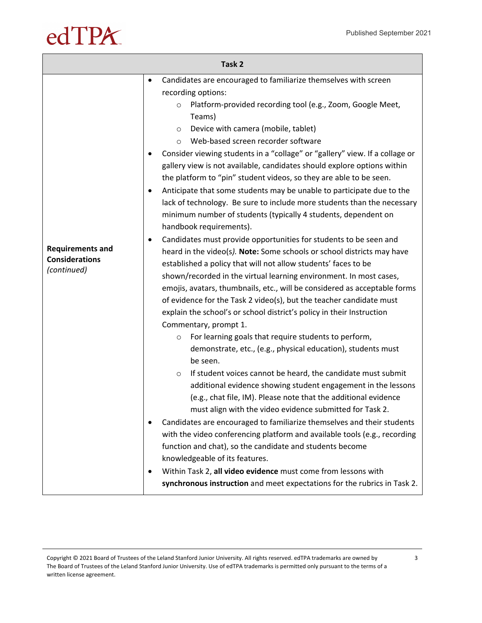| Task 2                                                          |                                                                                                                                                                                                                                                                                                                                                                                                                                                                                                                                                                                                                                                                                                                                                                                                                                                                                                                                                                                                                                                                                                                                                                                                                                                                                                                                                                                                                                                                                                                                                                                                                                                                                                                                                                                                                                                                                                                                                                                                                                                                                                                                                                        |
|-----------------------------------------------------------------|------------------------------------------------------------------------------------------------------------------------------------------------------------------------------------------------------------------------------------------------------------------------------------------------------------------------------------------------------------------------------------------------------------------------------------------------------------------------------------------------------------------------------------------------------------------------------------------------------------------------------------------------------------------------------------------------------------------------------------------------------------------------------------------------------------------------------------------------------------------------------------------------------------------------------------------------------------------------------------------------------------------------------------------------------------------------------------------------------------------------------------------------------------------------------------------------------------------------------------------------------------------------------------------------------------------------------------------------------------------------------------------------------------------------------------------------------------------------------------------------------------------------------------------------------------------------------------------------------------------------------------------------------------------------------------------------------------------------------------------------------------------------------------------------------------------------------------------------------------------------------------------------------------------------------------------------------------------------------------------------------------------------------------------------------------------------------------------------------------------------------------------------------------------------|
| <b>Requirements and</b><br><b>Considerations</b><br>(continued) | Candidates are encouraged to familiarize themselves with screen<br>$\bullet$<br>recording options:<br>Platform-provided recording tool (e.g., Zoom, Google Meet,<br>$\circ$<br>Teams)<br>Device with camera (mobile, tablet)<br>$\circ$<br>Web-based screen recorder software<br>$\circ$<br>Consider viewing students in a "collage" or "gallery" view. If a collage or<br>gallery view is not available, candidates should explore options within<br>the platform to "pin" student videos, so they are able to be seen.<br>Anticipate that some students may be unable to participate due to the<br>٠<br>lack of technology. Be sure to include more students than the necessary<br>minimum number of students (typically 4 students, dependent on<br>handbook requirements).<br>Candidates must provide opportunities for students to be seen and<br>٠<br>heard in the video(s). Note: Some schools or school districts may have<br>established a policy that will not allow students' faces to be<br>shown/recorded in the virtual learning environment. In most cases,<br>emojis, avatars, thumbnails, etc., will be considered as acceptable forms<br>of evidence for the Task 2 video(s), but the teacher candidate must<br>explain the school's or school district's policy in their Instruction<br>Commentary, prompt 1.<br>For learning goals that require students to perform,<br>$\circ$<br>demonstrate, etc., (e.g., physical education), students must<br>be seen.<br>If student voices cannot be heard, the candidate must submit<br>$\circ$<br>additional evidence showing student engagement in the lessons<br>(e.g., chat file, IM). Please note that the additional evidence<br>must align with the video evidence submitted for Task 2.<br>Candidates are encouraged to familiarize themselves and their students<br>٠<br>with the video conferencing platform and available tools (e.g., recording<br>function and chat), so the candidate and students become<br>knowledgeable of its features.<br>Within Task 2, all video evidence must come from lessons with<br>٠<br>synchronous instruction and meet expectations for the rubrics in Task 2. |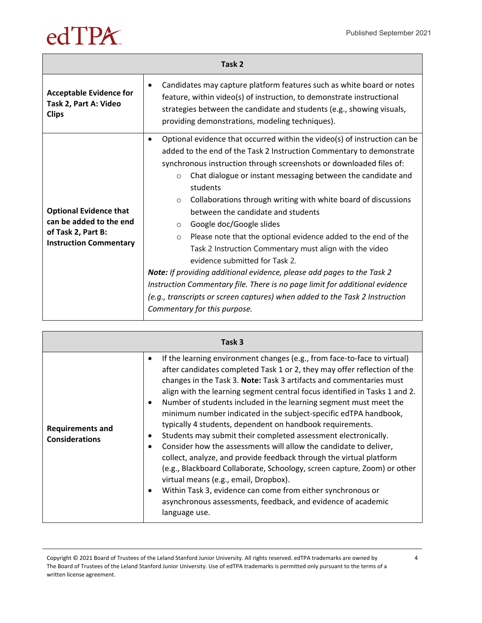| Task 2                                                                                                          |                                                                                                                                                                                                                                                                                                                                                                                                                                                                                                                                                                                                                                                                                                                                                                                                                                                                                                                                           |
|-----------------------------------------------------------------------------------------------------------------|-------------------------------------------------------------------------------------------------------------------------------------------------------------------------------------------------------------------------------------------------------------------------------------------------------------------------------------------------------------------------------------------------------------------------------------------------------------------------------------------------------------------------------------------------------------------------------------------------------------------------------------------------------------------------------------------------------------------------------------------------------------------------------------------------------------------------------------------------------------------------------------------------------------------------------------------|
| <b>Acceptable Evidence for</b><br>Task 2, Part A: Video<br><b>Clips</b>                                         | Candidates may capture platform features such as white board or notes<br>$\bullet$<br>feature, within video(s) of instruction, to demonstrate instructional<br>strategies between the candidate and students (e.g., showing visuals,<br>providing demonstrations, modeling techniques).                                                                                                                                                                                                                                                                                                                                                                                                                                                                                                                                                                                                                                                   |
| <b>Optional Evidence that</b><br>can be added to the end<br>of Task 2, Part B:<br><b>Instruction Commentary</b> | Optional evidence that occurred within the video(s) of instruction can be<br>$\bullet$<br>added to the end of the Task 2 Instruction Commentary to demonstrate<br>synchronous instruction through screenshots or downloaded files of:<br>Chat dialogue or instant messaging between the candidate and<br>$\Omega$<br>students<br>Collaborations through writing with white board of discussions<br>$\circ$<br>between the candidate and students<br>Google doc/Google slides<br>O<br>$\mathbb{H}$<br>$\circ$<br>$\Box$<br>$\Box$<br>П<br>b<br>$\Box$<br>П<br>$\Box$<br>П<br>O<br>П<br>П<br>ЫΠ<br>П<br>ΠП<br>$\perp$<br>$\perp$<br>П<br>П<br>$\Box$<br>$\Box$<br>П<br>Note: If providing additional evidence, please add pages to the Task 2<br>Instruction Commentary file. There is no page limit for additional evidence<br>(e.g., transcripts or screen captures) when added to the Task 2 Instruction<br>Commentary for this purpose. |

| Task 3                                           |                                                                                                                                                                                                                                                                                                                                                                                                                                                                                                                                                                                                                                                                                                                                                                                                                                                                                                                                                                                                                                        |
|--------------------------------------------------|----------------------------------------------------------------------------------------------------------------------------------------------------------------------------------------------------------------------------------------------------------------------------------------------------------------------------------------------------------------------------------------------------------------------------------------------------------------------------------------------------------------------------------------------------------------------------------------------------------------------------------------------------------------------------------------------------------------------------------------------------------------------------------------------------------------------------------------------------------------------------------------------------------------------------------------------------------------------------------------------------------------------------------------|
| <b>Requirements and</b><br><b>Considerations</b> | If the learning environment changes (e.g., from face-to-face to virtual)<br>$\bullet$<br>after candidates completed Task 1 or 2, they may offer reflection of the<br>changes in the Task 3. Note: Task 3 artifacts and commentaries must<br>align with the learning segment central focus identified in Tasks 1 and 2.<br>Number of students included in the learning segment must meet the<br>٠<br>minimum number indicated in the subject-specific edTPA handbook,<br>typically 4 students, dependent on handbook requirements.<br>Students may submit their completed assessment electronically.<br>٠<br>Consider how the assessments will allow the candidate to deliver,<br>collect, analyze, and provide feedback through the virtual platform<br>(e.g., Blackboard Collaborate, Schoology, screen capture, Zoom) or other<br>virtual means (e.g., email, Dropbox).<br>Within Task 3, evidence can come from either synchronous or<br>$\bullet$<br>asynchronous assessments, feedback, and evidence of academic<br>language use. |

Copyright © 2021 Board of Trustees of the Leland Stanford Junior University. All rights reserved. edTPA trademarks are owned by The Board of Trustees of the Leland Stanford Junior University. Use of edTPA trademarks is permitted only pursuant to the terms of a written license agreement.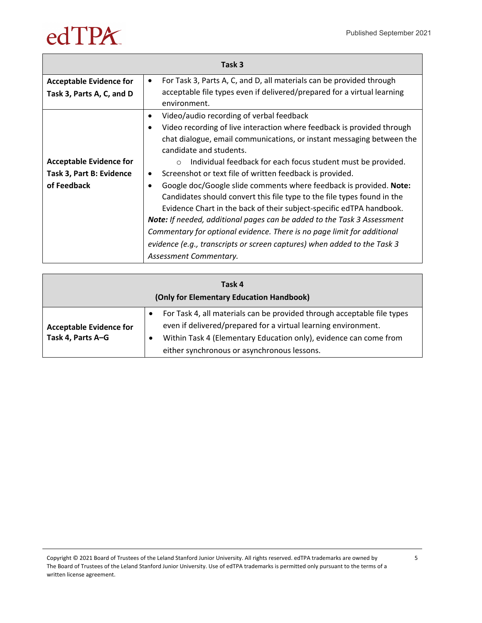|                                | Task 3                                                                            |
|--------------------------------|-----------------------------------------------------------------------------------|
| <b>Acceptable Evidence for</b> | For Task 3, Parts A, C, and D, all materials can be provided through<br>$\bullet$ |
| Task 3, Parts A, C, and D      | acceptable file types even if delivered/prepared for a virtual learning           |
|                                | environment.                                                                      |
|                                | Video/audio recording of verbal feedback<br>$\bullet$                             |
|                                | Video recording of live interaction where feedback is provided through            |
|                                | chat dialogue, email communications, or instant messaging between the             |
|                                | candidate and students.                                                           |
| <b>Acceptable Evidence for</b> | Individual feedback for each focus student must be provided.<br>$\circ$           |
| Task 3, Part B: Evidence       | Screenshot or text file of written feedback is provided.<br>$\bullet$             |
| of Feedback                    | Google doc/Google slide comments where feedback is provided. Note:                |
|                                | Candidates should convert this file type to the file types found in the           |
|                                | Evidence Chart in the back of their subject-specific edTPA handbook.              |
|                                | <b>Note:</b> If needed, additional pages can be added to the Task 3 Assessment    |
|                                | Commentary for optional evidence. There is no page limit for additional           |
|                                | evidence (e.g., transcripts or screen captures) when added to the Task 3          |
|                                | Assessment Commentary.                                                            |

| Task 4<br>(Only for Elementary Education Handbook)  |                                                                                                                                                                                                                                                                                                                                                                        |
|-----------------------------------------------------|------------------------------------------------------------------------------------------------------------------------------------------------------------------------------------------------------------------------------------------------------------------------------------------------------------------------------------------------------------------------|
| <b>Acceptable Evidence for</b><br>Task 4, Parts A-G | For Task 4, all materials can be provided through acceptable file types<br>$\bullet$<br>even if delivered/prepared for a virtual learning environment.<br>Within Task 4 (Elementary Education only), learning segment evidence<br>- 0<br>can come from either synchronous or asynchronous lessons, but re-<br>engagement evidence must come from a synchronous lesson. |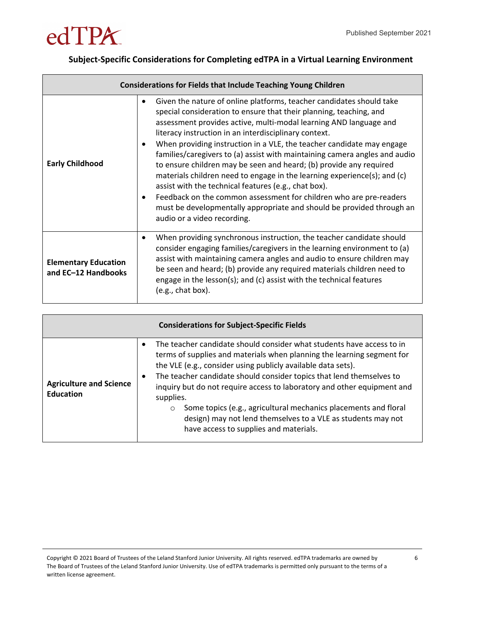

#### **Subject-Specific Considerations for Completing edTPA in a Virtual Learning Environment**

| <b>Considerations for Fields that Include Teaching Young Children</b> |                                                                                                                                                                                                                                                                                                                                                                                                                                                                                                                                                                                                                                                                                                                                                                                                                              |
|-----------------------------------------------------------------------|------------------------------------------------------------------------------------------------------------------------------------------------------------------------------------------------------------------------------------------------------------------------------------------------------------------------------------------------------------------------------------------------------------------------------------------------------------------------------------------------------------------------------------------------------------------------------------------------------------------------------------------------------------------------------------------------------------------------------------------------------------------------------------------------------------------------------|
| <b>Early Childhood</b>                                                | Given the nature of online platforms, teacher candidates should take<br>٠<br>special consideration to ensure that their planning, teaching, and<br>assessment provides active, multi-modal learning AND language and<br>literacy instruction in an interdisciplinary context.<br>When providing instruction in a VLE, the teacher candidate may engage<br>families/caregivers to (a) assist with maintaining camera angles and audio<br>to ensure children may be seen and heard; (b) provide any required<br>materials children need to engage in the learning experience(s); and (c)<br>assist with the technical features (e.g., chat box).<br>Feedback on the common assessment for children who are pre-readers<br>must be developmentally appropriate and should be provided through an<br>audio or a video recording. |
| <b>Elementary Education</b><br>and EC-12 Handbooks                    | When providing synchronous instruction, the teacher candidate should<br>consider engaging families/caregivers in the learning environment to (a)<br>assist with maintaining camera angles and audio to ensure children may<br>be seen and heard; (b) provide any required materials children need to<br>engage in the lesson(s); and (c) assist with the technical features<br>(e.g., chat box).                                                                                                                                                                                                                                                                                                                                                                                                                             |

| <b>Considerations for Subject-Specific Fields</b>  |                                                                                                                                                                                                                                                                                                                                                                                                                                                                                                                                                                   |  |
|----------------------------------------------------|-------------------------------------------------------------------------------------------------------------------------------------------------------------------------------------------------------------------------------------------------------------------------------------------------------------------------------------------------------------------------------------------------------------------------------------------------------------------------------------------------------------------------------------------------------------------|--|
| <b>Agriculture and Science</b><br><b>Education</b> | The teacher candidate should consider what students have access to in<br>terms of supplies and materials when planning the learning segment for<br>the VLE (e.g., consider using publicly available data sets).<br>The teacher candidate should consider topics that lend themselves to<br>inquiry but do not require access to laboratory and other equipment and<br>supplies.<br>Some topics (e.g., agricultural mechanics placements and floral<br>O<br>design) may not lend themselves to a VLE as students may not<br>have access to supplies and materials. |  |

Copyright © 2021 Board of Trustees of the Leland Stanford Junior University. All rights reserved. edTPA trademarks are owned by The Board of Trustees of the Leland Stanford Junior University. Use of edTPA trademarks is permitted only pursuant to the terms of a written license agreement.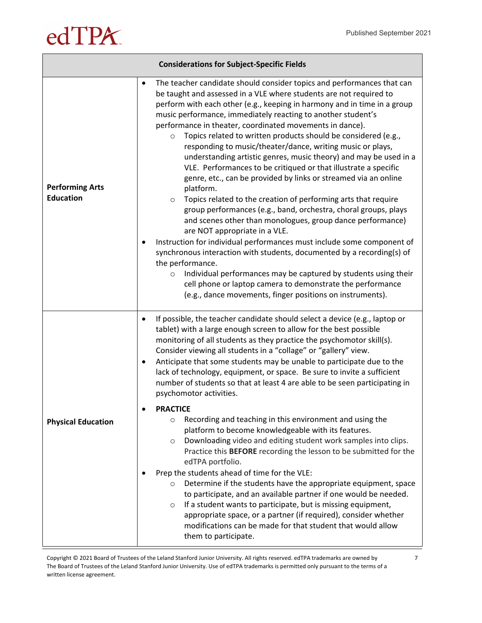|                                            | <b>Considerations for Subject-Specific Fields</b>                                                                                                                                                                                                                                                                                                                                                                                                                                                                                                                                                                                                                                                                                                                                                                                                                                                                                                                                                                                                                                                                                                                                                                                                                                                                                                            |
|--------------------------------------------|--------------------------------------------------------------------------------------------------------------------------------------------------------------------------------------------------------------------------------------------------------------------------------------------------------------------------------------------------------------------------------------------------------------------------------------------------------------------------------------------------------------------------------------------------------------------------------------------------------------------------------------------------------------------------------------------------------------------------------------------------------------------------------------------------------------------------------------------------------------------------------------------------------------------------------------------------------------------------------------------------------------------------------------------------------------------------------------------------------------------------------------------------------------------------------------------------------------------------------------------------------------------------------------------------------------------------------------------------------------|
| <b>Performing Arts</b><br><b>Education</b> | The teacher candidate should consider topics and performances that can<br>٠<br>be taught and assessed in a VLE where students are not required to<br>perform with each other (e.g., keeping in harmony and in time in a group<br>music performance, immediately reacting to another student's<br>performance in theater, coordinated movements in dance).<br>Topics related to written products should be considered (e.g.,<br>$\circ$<br>responding to music/theater/dance, writing music or plays,<br>understanding artistic genres, music theory) and may be used in a<br>VLE. Performances to be critiqued or that illustrate a specific<br>genre, etc., can be provided by links or streamed via an online<br>platform.<br>Topics related to the creation of performing arts that require<br>$\circ$<br>group performances (e.g., band, orchestra, choral groups, plays<br>and scenes other than monologues, group dance performance)<br>are NOT appropriate in a VLE.<br>Instruction for individual performances must include some component of<br>synchronous interaction with students, documented by a recording(s) of<br>the performance.<br>Individual performances may be captured by students using their<br>$\circ$<br>cell phone or laptop camera to demonstrate the performance<br>(e.g., dance movements, finger positions on instruments). |
| <b>Physical Education</b>                  | If possible, the teacher candidate should select a device (e.g., laptop or<br>$\bullet$<br>tablet) with a large enough screen to allow for the best possible<br>monitoring of all students as they practice the psychomotor skill(s).<br>Consider viewing all students in a "collage" or "gallery" view.<br>Anticipate that some students may be unable to participate due to the<br>$\bullet$<br>lack of technology, equipment, or space. Be sure to invite a sufficient<br>number of students so that at least 4 are able to be seen participating in<br>psychomotor activities.<br><b>PRACTICE</b><br>Recording and teaching in this environment and using the<br>$\circ$<br>platform to become knowledgeable with its features.<br>Downloading video and editing student work samples into clips.<br>$\circ$<br>Practice this BEFORE recording the lesson to be submitted for the<br>edTPA portfolio.<br>Prep the students ahead of time for the VLE:<br>Determine if the students have the appropriate equipment, space<br>$\circ$<br>to participate, and an available partner if one would be needed.<br>If a student wants to participate, but is missing equipment,<br>$\circ$<br>appropriate space, or a partner (if required), consider whether<br>modifications can be made for that student that would allow<br>them to participate.             |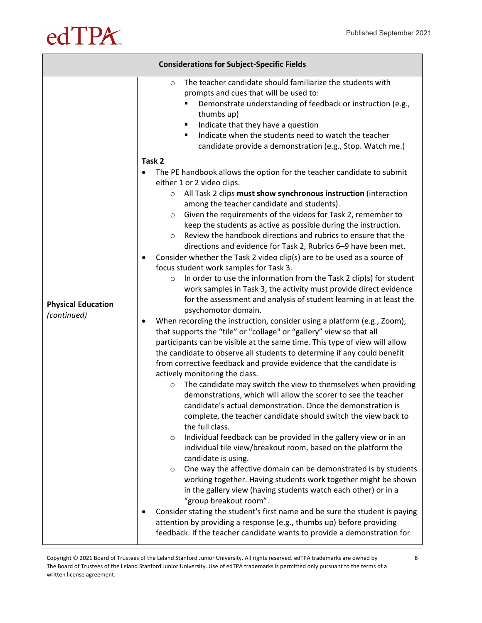| <b>Considerations for Subject-Specific Fields</b> |                                                                                                                                                                                                                                                                                                                                                                                                                                                                                                                                                                                                                                                                                                                                                                                                                                                                                                                                                                                                                                                                                                                                                                                                                                                                                                                                                                                                                                                                                                                                                                                                                                                                                                                                                                                                                                                                                                                                                                                                                                                                                                                                                                          |  |
|---------------------------------------------------|--------------------------------------------------------------------------------------------------------------------------------------------------------------------------------------------------------------------------------------------------------------------------------------------------------------------------------------------------------------------------------------------------------------------------------------------------------------------------------------------------------------------------------------------------------------------------------------------------------------------------------------------------------------------------------------------------------------------------------------------------------------------------------------------------------------------------------------------------------------------------------------------------------------------------------------------------------------------------------------------------------------------------------------------------------------------------------------------------------------------------------------------------------------------------------------------------------------------------------------------------------------------------------------------------------------------------------------------------------------------------------------------------------------------------------------------------------------------------------------------------------------------------------------------------------------------------------------------------------------------------------------------------------------------------------------------------------------------------------------------------------------------------------------------------------------------------------------------------------------------------------------------------------------------------------------------------------------------------------------------------------------------------------------------------------------------------------------------------------------------------------------------------------------------------|--|
| <b>Physical Education</b><br>(continued)          | The teacher candidate should familiarize the students with<br>$\circ$<br>prompts and cues that will be used to:<br>Demonstrate understanding of feedback or instruction (e.g.,<br>thumbs up)<br>Indicate that they have a question<br>٠<br>Indicate when the students need to watch the teacher<br>٠<br>candidate provide a demonstration (e.g., Stop. Watch me.)<br>Task 2<br>The PE handbook allows the option for the teacher candidate to submit<br>either 1 or 2 video clips.<br>All Task 2 clips must show synchronous instruction (interaction<br>$\circ$<br>among the teacher candidate and students).<br>Given the requirements of the videos for Task 2, remember to<br>$\circ$<br>keep the students as active as possible during the instruction.<br>Review the handbook directions and rubrics to ensure that the<br>$\circ$<br>directions and evidence for Task 2, Rubrics 6-9 have been met.<br>Consider whether the Task 2 video clip(s) are to be used as a source of<br>focus student work samples for Task 3.<br>In order to use the information from the Task 2 clip(s) for student<br>$\circ$<br>work samples in Task 3, the activity must provide direct evidence<br>for the assessment and analysis of student learning in at least the<br>psychomotor domain.<br>When recording the instruction, consider using a platform (e.g., Zoom),<br>$\bullet$<br>that supports the "tile" or "collage" or "gallery" view so that all<br>participants can be visible at the same time. This type of view will allow<br>the candidate to observe all students to determine if any could benefit<br>from corrective feedback and provide evidence that the candidate is<br>actively monitoring the class.<br>The candidate may switch the view to themselves when providing<br>$\circ$<br>demonstrations, which will allow the scorer to see the teacher<br>candidate's actual demonstration. Once the demonstration is<br>complete, the teacher candidate should switch the view back to<br>the full class.<br>Individual feedback can be provided in the gallery view or in an<br>$\circ$<br>individual tile view/breakout room, based on the platform the |  |
|                                                   | candidate is using.<br>One way the affective domain can be demonstrated is by students<br>$\circ$<br>working together. Having students work together might be shown<br>in the gallery view (having students watch each other) or in a<br>"group breakout room".<br>Consider stating the student's first name and be sure the student is paying<br>٠<br>attention by providing a response (e.g., thumbs up) before providing<br>feedback. If the teacher candidate wants to provide a demonstration for                                                                                                                                                                                                                                                                                                                                                                                                                                                                                                                                                                                                                                                                                                                                                                                                                                                                                                                                                                                                                                                                                                                                                                                                                                                                                                                                                                                                                                                                                                                                                                                                                                                                   |  |

Copyright © 2021 Board of Trustees of the Leland Stanford Junior University. All rights reserved. edTPA trademarks are owned by The Board of Trustees of the Leland Stanford Junior University. Use of edTPA trademarks is permitted only pursuant to the terms of a written license agreement.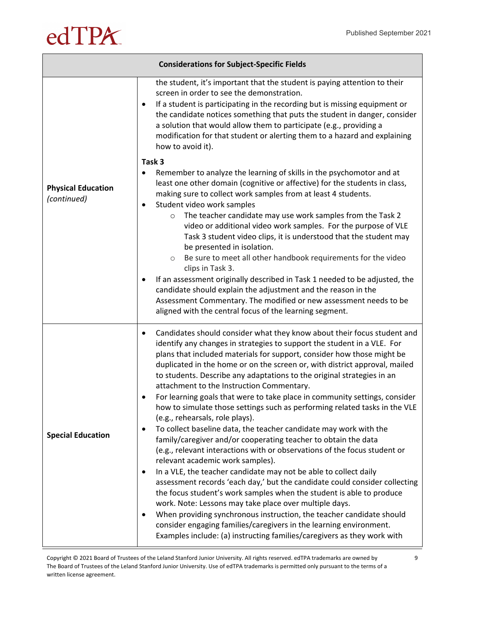| <b>Considerations for Subject-Specific Fields</b> |                                                                                                                                                                                                                                                                                                                                                                                                                                                                                                                                                                                                                                                                                                                                                                                                                                                                                                                                                                                                                                                                                                                                                                                                                                                                          |
|---------------------------------------------------|--------------------------------------------------------------------------------------------------------------------------------------------------------------------------------------------------------------------------------------------------------------------------------------------------------------------------------------------------------------------------------------------------------------------------------------------------------------------------------------------------------------------------------------------------------------------------------------------------------------------------------------------------------------------------------------------------------------------------------------------------------------------------------------------------------------------------------------------------------------------------------------------------------------------------------------------------------------------------------------------------------------------------------------------------------------------------------------------------------------------------------------------------------------------------------------------------------------------------------------------------------------------------|
|                                                   | the student, it's important that the student is paying attention to their<br>screen in order to see the demonstration.<br>If a student is participating in the recording but is missing equipment or<br>$\bullet$<br>the candidate notices something that puts the student in danger, consider<br>a solution that would allow them to participate (e.g., providing a<br>modification for that student or alerting them to a hazard and explaining<br>how to avoid it).                                                                                                                                                                                                                                                                                                                                                                                                                                                                                                                                                                                                                                                                                                                                                                                                   |
|                                                   | Task 3                                                                                                                                                                                                                                                                                                                                                                                                                                                                                                                                                                                                                                                                                                                                                                                                                                                                                                                                                                                                                                                                                                                                                                                                                                                                   |
| <b>Physical Education</b><br>(continued)          | Remember to analyze the learning of skills in the psychomotor and at<br>٠<br>least one other domain (cognitive or affective) for the students in class,<br>making sure to collect work samples from at least 4 students.<br>Student video work samples<br>٠<br>The teacher candidate may use work samples from the Task 2<br>$\circ$                                                                                                                                                                                                                                                                                                                                                                                                                                                                                                                                                                                                                                                                                                                                                                                                                                                                                                                                     |
|                                                   | video or additional video work samples. For the purpose of VLE<br>Task 3 student video clips, it is understood that the student may<br>be presented in isolation.<br>Be sure to meet all other handbook requirements for the video<br>$\circlearrowright$                                                                                                                                                                                                                                                                                                                                                                                                                                                                                                                                                                                                                                                                                                                                                                                                                                                                                                                                                                                                                |
|                                                   | clips in Task 3.<br>If an assessment originally described in Task 1 needed to be adjusted, the<br>٠                                                                                                                                                                                                                                                                                                                                                                                                                                                                                                                                                                                                                                                                                                                                                                                                                                                                                                                                                                                                                                                                                                                                                                      |
|                                                   | candidate should explain the adjustment and the reason in the                                                                                                                                                                                                                                                                                                                                                                                                                                                                                                                                                                                                                                                                                                                                                                                                                                                                                                                                                                                                                                                                                                                                                                                                            |
|                                                   | Assessment Commentary. The modified or new assessment needs to be<br>aligned with the central focus of the learning segment.                                                                                                                                                                                                                                                                                                                                                                                                                                                                                                                                                                                                                                                                                                                                                                                                                                                                                                                                                                                                                                                                                                                                             |
| <b>Special Education</b>                          | Candidates should consider what they know about their focus student and<br>٠<br>identify any changes in strategies to support the student in a VLE. For<br>plans that included materials for support, consider how those might be<br>duplicated in the home or on the screen or, with district approval, mailed<br>to students. Describe any adaptations to the original strategies in an<br>attachment to the Instruction Commentary.<br>For learning goals that were to take place in community settings, consider<br>٠<br>how to simulate those settings such as performing related tasks in the VLE<br>(e.g., rehearsals, role plays).<br>To collect baseline data, the teacher candidate may work with the<br>family/caregiver and/or cooperating teacher to obtain the data<br>(e.g., relevant interactions with or observations of the focus student or<br>relevant academic work samples).<br>In a VLE, the teacher candidate may not be able to collect daily<br>٠<br>assessment records 'each day,' but the candidate could consider collecting<br>the focus student's work samples when the student is able to produce<br>work. Note: Lessons may take place over multiple days.<br>When providing synchronous instruction, the teacher candidate should<br>٠ |
|                                                   | consider engaging families/caregivers in the learning environment.<br>Examples include: (a) instructing families/caregivers as they work with                                                                                                                                                                                                                                                                                                                                                                                                                                                                                                                                                                                                                                                                                                                                                                                                                                                                                                                                                                                                                                                                                                                            |